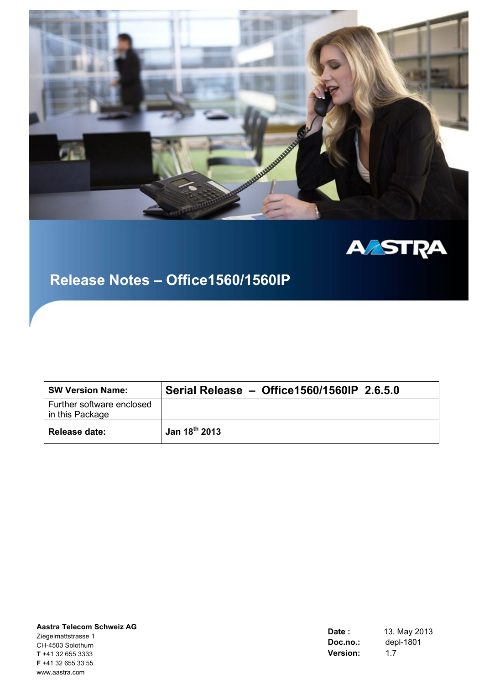



# **Release Notes – Office1560/1560IP**

| <b>SW Version Name:</b>                      | Serial Release - Office1560/1560IP 2.6.5.0 |
|----------------------------------------------|--------------------------------------------|
| Further software enclosed<br>in this Package |                                            |
| Release date:                                | Jan 18 <sup>th</sup> 2013                  |

| Aastra Telecom Schweiz AG |
|---------------------------|
| Ziegelmattstrasse 1       |
| CH-4503 Solothurn         |
| <b>T</b> +41 32 655 3333  |
| $F + 41$ 32 655 33 55     |
| www.aastra.com            |

| Date :   | 13. May 2013 |
|----------|--------------|
| Doc.no.: | depl-1801    |
| Version: | 1.7          |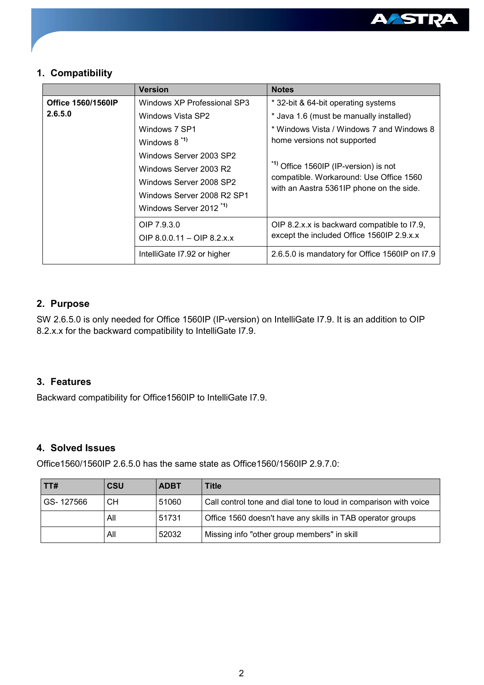

## **1. Compatibility**

|                           | <b>Version</b>                     | <b>Notes</b>                                                             |  |
|---------------------------|------------------------------------|--------------------------------------------------------------------------|--|
| <b>Office 1560/1560IP</b> | Windows XP Professional SP3        | * 32-bit & 64-bit operating systems                                      |  |
| 2.6.5.0                   | Windows Vista SP2                  | * Java 1.6 (must be manually installed)                                  |  |
|                           | Windows 7 SP1                      | * Windows Vista / Windows 7 and Windows 8<br>home versions not supported |  |
|                           | Windows $8^{*1}$                   |                                                                          |  |
|                           | Windows Server 2003 SP2            |                                                                          |  |
|                           | Windows Server 2003 R2             | <sup>*1)</sup> Office 1560IP (IP-version) is not                         |  |
|                           | Windows Server 2008 SP2            | compatible. Workaround: Use Office 1560                                  |  |
|                           | Windows Server 2008 R2 SP1         | with an Aastra 5361IP phone on the side.                                 |  |
|                           | Windows Server 2012 <sup>*1)</sup> |                                                                          |  |
|                           | OIP 7.9.3.0                        | OIP 8.2.x.x is backward compatible to I7.9,                              |  |
|                           | OIP $8.0.0.11 -$ OIP $8.2.x.x$     | except the included Office 1560IP 2.9.x.x                                |  |
|                           | IntelliGate 17.92 or higher        | 2.6.5.0 is mandatory for Office 1560IP on I7.9                           |  |

## **2. Purpose**

SW 2.6.5.0 is only needed for Office 1560IP (IP-version) on IntelliGate I7.9. It is an addition to OIP 8.2.x.x for the backward compatibility to IntelliGate I7.9.

### **3. Features**

Backward compatibility for Office1560IP to IntelliGate I7.9.

#### **4. Solved Issues**

Office1560/1560IP 2.6.5.0 has the same state as Office1560/1560IP 2.9.7.0:

| TT#       | <b>CSU</b> | <b>ADBT</b>                                                               | Title                                                      |
|-----------|------------|---------------------------------------------------------------------------|------------------------------------------------------------|
| GS-127566 | CН         | 51060<br>Call control tone and dial tone to loud in comparison with voice |                                                            |
|           | All        | 51731                                                                     | Office 1560 doesn't have any skills in TAB operator groups |
|           | All        | 52032                                                                     | Missing info "other group members" in skill                |